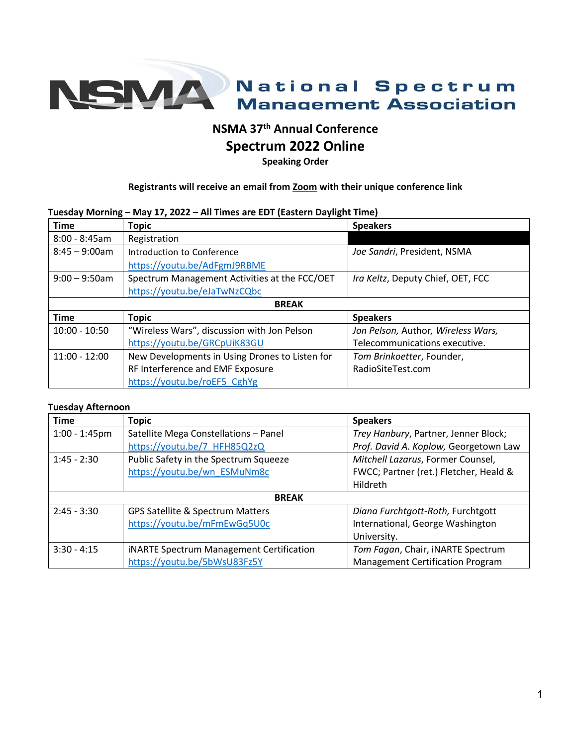

NSMA National Spectrum

# **NSMA 37th Annual Conference**

## **Spectrum 2022 Online**

**Speaking Order**

### **Registrants will receive an email from Zoom with their unique conference link**

#### **Tuesday Morning – May 17, 2022 – All Times are EDT (Eastern Daylight Time)**

| <b>Time</b>      | <b>Topic</b>                                   | <b>Speakers</b>                    |  |  |
|------------------|------------------------------------------------|------------------------------------|--|--|
| $8:00 - 8:45am$  | Registration                                   |                                    |  |  |
| $8:45 - 9:00$ am | Introduction to Conference                     | Joe Sandri, President, NSMA        |  |  |
|                  | https://youtu.be/AdFgmJ9RBME                   |                                    |  |  |
| $9:00 - 9:50$ am | Spectrum Management Activities at the FCC/OET  | Ira Keltz, Deputy Chief, OET, FCC  |  |  |
|                  | https://youtu.be/eJaTwNzCQbc                   |                                    |  |  |
| <b>BREAK</b>     |                                                |                                    |  |  |
| <b>Time</b>      | <b>Topic</b>                                   | <b>Speakers</b>                    |  |  |
| $10:00 - 10:50$  | "Wireless Wars", discussion with Jon Pelson    | Jon Pelson, Author, Wireless Wars, |  |  |
|                  | https://youtu.be/GRCpUiK83GU                   | Telecommunications executive.      |  |  |
| $11:00 - 12:00$  | New Developments in Using Drones to Listen for | Tom Brinkoetter, Founder,          |  |  |
|                  | RF Interference and EMF Exposure               | RadioSiteTest.com                  |  |  |
|                  | https://youtu.be/roEF5 CghYg                   |                                    |  |  |

### **Tuesday Afternoon**

| <b>Time</b>      | <b>Topic</b>                                | <b>Speakers</b>                         |  |
|------------------|---------------------------------------------|-----------------------------------------|--|
| $1:00 - 1:45$ pm | Satellite Mega Constellations - Panel       | Trey Hanbury, Partner, Jenner Block;    |  |
|                  | https://youtu.be/7 HFH85Q2zQ                | Prof. David A. Koplow, Georgetown Law   |  |
| $1:45 - 2:30$    | Public Safety in the Spectrum Squeeze       | Mitchell Lazarus, Former Counsel,       |  |
|                  | https://youtu.be/wn ESMuNm8c                | FWCC; Partner (ret.) Fletcher, Heald &  |  |
|                  |                                             | Hildreth                                |  |
| <b>BREAK</b>     |                                             |                                         |  |
| $2:45 - 3:30$    | <b>GPS Satellite &amp; Spectrum Matters</b> | Diana Furchtgott-Roth, Furchtgott       |  |
|                  | https://youtu.be/mFmEwGq5U0c                | International, George Washington        |  |
|                  |                                             | University.                             |  |
| $3:30 - 4:15$    | iNARTE Spectrum Management Certification    | Tom Fagan, Chair, INARTE Spectrum       |  |
|                  | https://youtu.be/5bWsU83Fz5Y                | <b>Management Certification Program</b> |  |